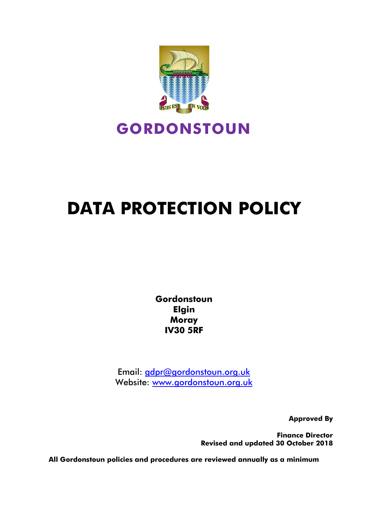

# **DATA PROTECTION POLICY**

**Gordonstoun Elgin Moray IV30 5RF**

Email: [gdpr@gordonstoun.org.uk](mailto:gdpr@gordonstoun.org.uk) Website: www.gordonstoun.org.uk

**Approved By**

**Finance Director Revised and updated 30 October 2018**

**All Gordonstoun policies and procedures are reviewed annually as a minimum**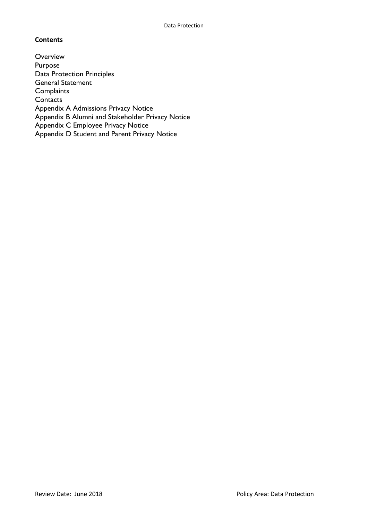# **Contents**

**Overview** Purpose Data Protection Principles General Statement **Complaints Contacts** Appendix A Admissions Privacy Notice Appendix B Alumni and Stakeholder Privacy Notice Appendix C Employee Privacy Notice Appendix D Student and Parent Privacy Notice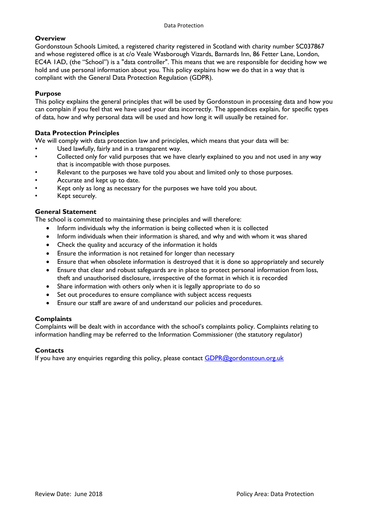# **Overview**

Gordonstoun Schools Limited, a registered charity registered in Scotland with charity number SC037867 and whose registered office is at c/o Veale Wasborough Vizards, Barnards Inn, 86 Fetter Lane, London, EC4A 1AD, (the "School") is a "data controller". This means that we are responsible for deciding how we hold and use personal information about you. This policy explains how we do that in a way that is compliant with the General Data Protection Regulation (GDPR).

# **Purpose**

This policy explains the general principles that will be used by Gordonstoun in processing data and how you can complain if you feel that we have used your data incorrectly. The appendices explain, for specific types of data, how and why personal data will be used and how long it will usually be retained for.

# **Data Protection Principles**

We will comply with data protection law and principles, which means that your data will be:

- Used lawfully, fairly and in a transparent way.
- Collected only for valid purposes that we have clearly explained to you and not used in any way that is incompatible with those purposes.
- Relevant to the purposes we have told you about and limited only to those purposes.
- Accurate and kept up to date.
- Kept only as long as necessary for the purposes we have told you about.
- Kept securely.

# **General Statement**

The school is committed to maintaining these principles and will therefore:

- Inform individuals why the information is being collected when it is collected
- Inform individuals when their information is shared, and why and with whom it was shared
- Check the quality and accuracy of the information it holds
- Ensure the information is not retained for longer than necessary
- Ensure that when obsolete information is destroyed that it is done so appropriately and securely
- Ensure that clear and robust safeguards are in place to protect personal information from loss, theft and unauthorised disclosure, irrespective of the format in which it is recorded
- Share information with others only when it is legally appropriate to do so
- Set out procedures to ensure compliance with subject access requests
- Ensure our staff are aware of and understand our policies and procedures.

# **Complaints**

Complaints will be dealt with in accordance with the school's complaints policy. Complaints relating to information handling may be referred to the Information Commissioner (the statutory regulator)

# **Contacts**

If you have any enquiries regarding this policy, please contact [GDPR@gordonstoun.org.uk](mailto:GDPR@gordonstoun.org.uk)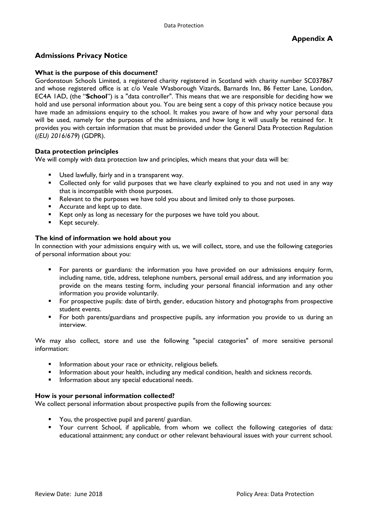# **Admissions Privacy Notice**

# **What is the purpose of this document?**

Gordonstoun Schools Limited, a registered charity registered in Scotland with charity number SC037867 and whose registered office is at c/o Veale Wasborough Vizards, Barnards Inn, 86 Fetter Lane, London, EC4A 1AD, (the "**School**") is a "data controller". This means that we are responsible for deciding how we hold and use personal information about you. You are being sent a copy of this privacy notice because you have made an admissions enquiry to the school. It makes you aware of how and why your personal data will be used, namely for the purposes of the admissions, and how long it will usually be retained for. It provides you with certain information that must be provided under the General Data Protection Regulation (*(EU) 2016/679*) (GDPR).

# **Data protection principles**

We will comply with data protection law and principles, which means that your data will be:

- Used lawfully, fairly and in a transparent way.
- Collected only for valid purposes that we have clearly explained to you and not used in any way that is incompatible with those purposes.
- Relevant to the purposes we have told you about and limited only to those purposes.
- **Accurate and kept up to date.**
- Kept only as long as necessary for the purposes we have told you about.
- **Kept securely.**

# **The kind of information we hold about you**

In connection with your admissions enquiry with us, we will collect, store, and use the following categories of personal information about you:

- For parents or guardians: the information you have provided on our admissions enquiry form, including name, title, address, telephone numbers, personal email address, and any information you provide on the means testing form, including your personal financial information and any other information you provide voluntarily.
- For prospective pupils: date of birth, gender, education history and photographs from prospective student events.
- For both parents/guardians and prospective pupils, any information you provide to us during an interview.

We may also collect, store and use the following "special categories" of more sensitive personal information:

- Information about your race or ethnicity, religious beliefs.
- **Information about your health, including any medical condition, health and sickness records.**
- Information about any special educational needs.

#### **How is your personal information collected?**

We collect personal information about prospective pupils from the following sources:

- You, the prospective pupil and parent/ guardian.
- Your current School, if applicable, from whom we collect the following categories of data: educational attainment; any conduct or other relevant behavioural issues with your current school.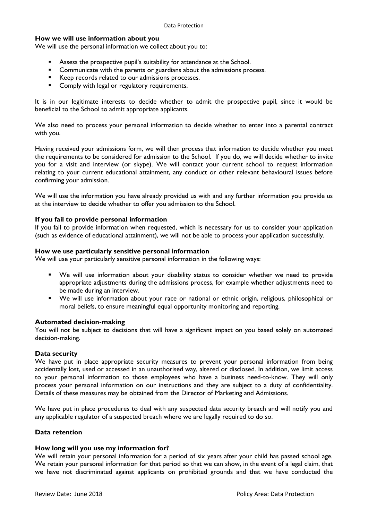#### **How we will use information about you**

We will use the personal information we collect about you to:

- Assess the prospective pupil's suitability for attendance at the School.
- Communicate with the parents or guardians about the admissions process.
- Keep records related to our admissions processes.
- **Comply with legal or regulatory requirements.**

It is in our legitimate interests to decide whether to admit the prospective pupil, since it would be beneficial to the School to admit appropriate applicants.

We also need to process your personal information to decide whether to enter into a parental contract with you.

Having received your admissions form, we will then process that information to decide whether you meet the requirements to be considered for admission to the School. If you do, we will decide whether to invite you for a visit and interview (or skype). We will contact your current school to request information relating to your current educational attainment, any conduct or other relevant behavioural issues before confirming your admission.

We will use the information you have already provided us with and any further information you provide us at the interview to decide whether to offer you admission to the School.

#### **If you fail to provide personal information**

If you fail to provide information when requested, which is necessary for us to consider your application (such as evidence of educational attainment), we will not be able to process your application successfully.

#### **How we use particularly sensitive personal information**

We will use your particularly sensitive personal information in the following ways:

- We will use information about your disability status to consider whether we need to provide appropriate adjustments during the admissions process, for example whether adjustments need to be made during an interview.
- We will use information about your race or national or ethnic origin, religious, philosophical or moral beliefs, to ensure meaningful equal opportunity monitoring and reporting.

#### **Automated decision-making**

You will not be subject to decisions that will have a significant impact on you based solely on automated decision-making.

#### **Data security**

We have put in place appropriate security measures to prevent your personal information from being accidentally lost, used or accessed in an unauthorised way, altered or disclosed. In addition, we limit access to your personal information to those employees who have a business need-to-know. They will only process your personal information on our instructions and they are subject to a duty of confidentiality. Details of these measures may be obtained from the Director of Marketing and Admissions.

We have put in place procedures to deal with any suspected data security breach and will notify you and any applicable regulator of a suspected breach where we are legally required to do so.

#### **Data retention**

#### **How long will you use my information for?**

We will retain your personal information for a period of six years after your child has passed school age. We retain your personal information for that period so that we can show, in the event of a legal claim, that we have not discriminated against applicants on prohibited grounds and that we have conducted the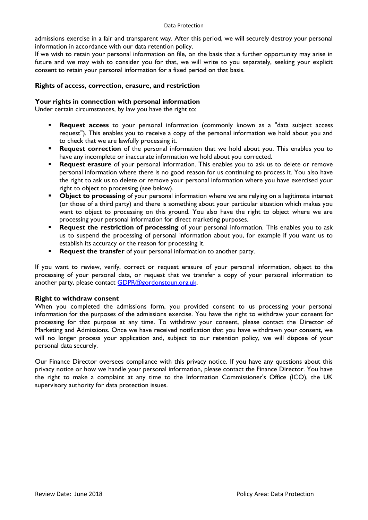admissions exercise in a fair and transparent way. After this period, we will securely destroy your personal information in accordance with our data retention policy.

If we wish to retain your personal information on file, on the basis that a further opportunity may arise in future and we may wish to consider you for that, we will write to you separately, seeking your explicit consent to retain your personal information for a fixed period on that basis.

# **Rights of access, correction, erasure, and restriction**

### **Your rights in connection with personal information**

Under certain circumstances, by law you have the right to:

- **Request access** to your personal information (commonly known as a "data subject access request"). This enables you to receive a copy of the personal information we hold about you and to check that we are lawfully processing it.
- **Request correction** of the personal information that we hold about you. This enables you to have any incomplete or inaccurate information we hold about you corrected.
- **Request erasure** of your personal information. This enables you to ask us to delete or remove personal information where there is no good reason for us continuing to process it. You also have the right to ask us to delete or remove your personal information where you have exercised your right to object to processing (see below).
- **Object to processing** of your personal information where we are relying on a legitimate interest (or those of a third party) and there is something about your particular situation which makes you want to object to processing on this ground. You also have the right to object where we are processing your personal information for direct marketing purposes.
- **Request the restriction of processing** of your personal information. This enables you to ask us to suspend the processing of personal information about you, for example if you want us to establish its accuracy or the reason for processing it.
- **Request the transfer** of your personal information to another party.

If you want to review, verify, correct or request erasure of your personal information, object to the processing of your personal data, or request that we transfer a copy of your personal information to another party, please contact [GDPR@gordonstoun.org.uk.](mailto:GDPR@gordonstoun.org.uk)

#### **Right to withdraw consent**

When you completed the admissions form, you provided consent to us processing your personal information for the purposes of the admissions exercise. You have the right to withdraw your consent for processing for that purpose at any time. To withdraw your consent, please contact the Director of Marketing and Admissions. Once we have received notification that you have withdrawn your consent, we will no longer process your application and, subject to our retention policy, we will dispose of your personal data securely.

Our Finance Director oversees compliance with this privacy notice. If you have any questions about this privacy notice or how we handle your personal information, please contact the Finance Director. You have the right to make a complaint at any time to the Information Commissioner's Office (ICO), the UK supervisory authority for data protection issues.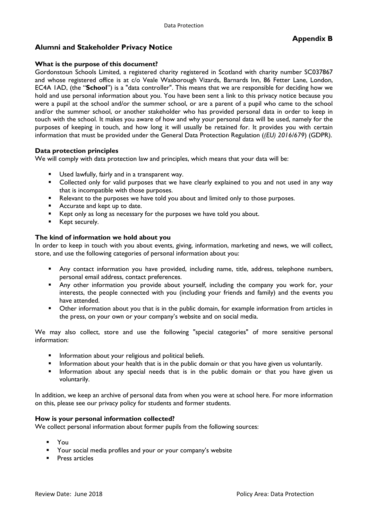# **Alumni and Stakeholder Privacy Notice**

# **What is the purpose of this document?**

Gordonstoun Schools Limited, a registered charity registered in Scotland with charity number SC037867 and whose registered office is at c/o Veale Wasborough Vizards, Barnards Inn, 86 Fetter Lane, London, EC4A 1AD, (the "**School**") is a "data controller". This means that we are responsible for deciding how we hold and use personal information about you. You have been sent a link to this privacy notice because you were a pupil at the school and/or the summer school, or are a parent of a pupil who came to the school and/or the summer school, or another stakeholder who has provided personal data in order to keep in touch with the school. It makes you aware of how and why your personal data will be used, namely for the purposes of keeping in touch, and how long it will usually be retained for. It provides you with certain information that must be provided under the General Data Protection Regulation (*(EU) 2016/679*) (GDPR).

# **Data protection principles**

We will comply with data protection law and principles, which means that your data will be:

- Used lawfully, fairly and in a transparent way.
- Collected only for valid purposes that we have clearly explained to you and not used in any way that is incompatible with those purposes.
- Relevant to the purposes we have told you about and limited only to those purposes.
- **Accurate and kept up to date.**
- E Kept only as long as necessary for the purposes we have told you about.
- **Kept securely.**

# **The kind of information we hold about you**

In order to keep in touch with you about events, giving, information, marketing and news, we will collect, store, and use the following categories of personal information about you:

- Any contact information you have provided, including name, title, address, telephone numbers, personal email address, contact preferences.
- Any other information you provide about yourself, including the company you work for, your interests, the people connected with you (including your friends and family) and the events you have attended.
- **•** Other information about you that is in the public domain, for example information from articles in the press, on your own or your company's website and on social media.

We may also collect, store and use the following "special categories" of more sensitive personal information:

- **Information about your religious and political beliefs.**
- Information about your health that is in the public domain or that you have given us voluntarily.
- **Information about any special needs that is in the public domain or that you have given us** voluntarily.

In addition, we keep an archive of personal data from when you were at school here. For more information on this, please see our privacy policy for students and former students.

#### **How is your personal information collected?**

We collect personal information about former pupils from the following sources:

- You
- Your social media profiles and your or your company's website
- **Press articles**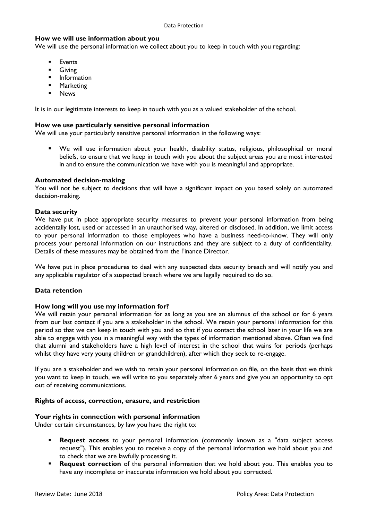# **How we will use information about you**

We will use the personal information we collect about you to keep in touch with you regarding:

- **Events**
- Giving
- **Information**
- **-** Marketing
- **News**

It is in our legitimate interests to keep in touch with you as a valued stakeholder of the school.

#### **How we use particularly sensitive personal information**

We will use your particularly sensitive personal information in the following ways:

 We will use information about your health, disability status, religious, philosophical or moral beliefs, to ensure that we keep in touch with you about the subject areas you are most interested in and to ensure the communication we have with you is meaningful and appropriate.

#### **Automated decision-making**

You will not be subject to decisions that will have a significant impact on you based solely on automated decision-making.

#### **Data security**

We have put in place appropriate security measures to prevent your personal information from being accidentally lost, used or accessed in an unauthorised way, altered or disclosed. In addition, we limit access to your personal information to those employees who have a business need-to-know. They will only process your personal information on our instructions and they are subject to a duty of confidentiality. Details of these measures may be obtained from the Finance Director.

We have put in place procedures to deal with any suspected data security breach and will notify you and any applicable regulator of a suspected breach where we are legally required to do so.

#### **Data retention**

#### **How long will you use my information for?**

We will retain your personal information for as long as you are an alumnus of the school or for 6 years from our last contact if you are a stakeholder in the school. We retain your personal information for this period so that we can keep in touch with you and so that if you contact the school later in your life we are able to engage with you in a meaningful way with the types of information mentioned above. Often we find that alumni and stakeholders have a high level of interest in the school that wains for periods (perhaps whilst they have very young children or grandchildren), after which they seek to re-engage.

If you are a stakeholder and we wish to retain your personal information on file, on the basis that we think you want to keep in touch, we will write to you separately after 6 years and give you an opportunity to opt out of receiving communications.

#### **Rights of access, correction, erasure, and restriction**

#### **Your rights in connection with personal information**

Under certain circumstances, by law you have the right to:

- **Request access** to your personal information (commonly known as a "data subject access request"). This enables you to receive a copy of the personal information we hold about you and to check that we are lawfully processing it.
- **Request correction** of the personal information that we hold about you. This enables you to have any incomplete or inaccurate information we hold about you corrected.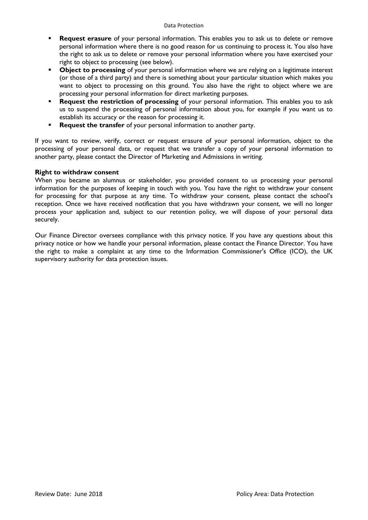- **Request erasure** of your personal information. This enables you to ask us to delete or remove personal information where there is no good reason for us continuing to process it. You also have the right to ask us to delete or remove your personal information where you have exercised your right to object to processing (see below).
- **Object to processing** of your personal information where we are relying on a legitimate interest (or those of a third party) and there is something about your particular situation which makes you want to object to processing on this ground. You also have the right to object where we are processing your personal information for direct marketing purposes.
- **Request the restriction of processing** of your personal information. This enables you to ask us to suspend the processing of personal information about you, for example if you want us to establish its accuracy or the reason for processing it.
- **Request the transfer** of your personal information to another party.

If you want to review, verify, correct or request erasure of your personal information, object to the processing of your personal data, or request that we transfer a copy of your personal information to another party, please contact the Director of Marketing and Admissions in writing.

#### **Right to withdraw consent**

When you became an alumnus or stakeholder, you provided consent to us processing your personal information for the purposes of keeping in touch with you. You have the right to withdraw your consent for processing for that purpose at any time. To withdraw your consent, please contact the school's reception. Once we have received notification that you have withdrawn your consent, we will no longer process your application and, subject to our retention policy, we will dispose of your personal data securely.

Our Finance Director oversees compliance with this privacy notice. If you have any questions about this privacy notice or how we handle your personal information, please contact the Finance Director. You have the right to make a complaint at any time to the Information Commissioner's Office (ICO), the UK supervisory authority for data protection issues.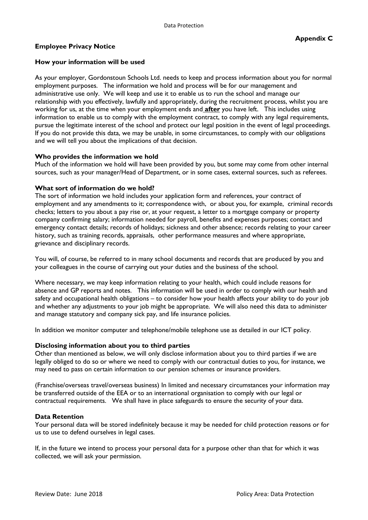# **How your information will be used**

As your employer, Gordonstoun Schools Ltd. needs to keep and process information about you for normal employment purposes. The information we hold and process will be for our management and administrative use only. We will keep and use it to enable us to run the school and manage our relationship with you effectively, lawfully and appropriately, during the recruitment process, whilst you are working for us, at the time when your employment ends and **after** you have left. This includes using information to enable us to comply with the employment contract, to comply with any legal requirements, pursue the legitimate interest of the school and protect our legal position in the event of legal proceedings. If you do not provide this data, we may be unable, in some circumstances, to comply with our obligations and we will tell you about the implications of that decision.

# **Who provides the information we hold**

Much of the information we hold will have been provided by you, but some may come from other internal sources, such as your manager/Head of Department, or in some cases, external sources, such as referees.

# **What sort of information do we hold?**

The sort of information we hold includes your application form and references, your contract of employment and any amendments to it; correspondence with, or about you, for example, criminal records checks; letters to you about a pay rise or, at your request, a letter to a mortgage company or property company confirming salary; information needed for payroll, benefits and expenses purposes; contact and emergency contact details; records of holidays; sickness and other absence; records relating to your career history, such as training records, appraisals, other performance measures and where appropriate, grievance and disciplinary records.

You will, of course, be referred to in many school documents and records that are produced by you and your colleagues in the course of carrying out your duties and the business of the school.

Where necessary, we may keep information relating to your health, which could include reasons for absence and GP reports and notes. This information will be used in order to comply with our health and safety and occupational health obligations – to consider how your health affects your ability to do your job and whether any adjustments to your job might be appropriate. We will also need this data to administer and manage statutory and company sick pay, and life insurance policies.

In addition we monitor computer and telephone/mobile telephone use as detailed in our ICT policy.

#### **Disclosing information about you to third parties**

Other than mentioned as below, we will only disclose information about you to third parties if we are legally obliged to do so or where we need to comply with our contractual duties to you, for instance, we may need to pass on certain information to our pension schemes or insurance providers.

(Franchise/overseas travel/overseas business) In limited and necessary circumstances your information may be transferred outside of the EEA or to an international organisation to comply with our legal or contractual requirements. We shall have in place safeguards to ensure the security of your data.

#### **Data Retention**

Your personal data will be stored indefinitely because it may be needed for child protection reasons or for us to use to defend ourselves in legal cases.

If, in the future we intend to process your personal data for a purpose other than that for which it was collected, we will ask your permission.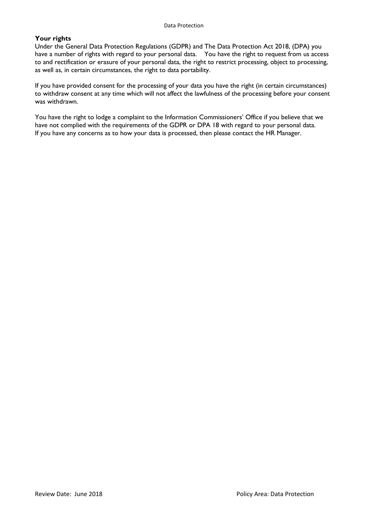#### **Your rights**

Under the General Data Protection Regulations (GDPR) and The Data Protection Act 2018, (DPA) you have a number of rights with regard to your personal data. You have the right to request from us access to and rectification or erasure of your personal data, the right to restrict processing, object to processing, as well as, in certain circumstances, the right to data portability.

If you have provided consent for the processing of your data you have the right (in certain circumstances) to withdraw consent at any time which will not affect the lawfulness of the processing before your consent was withdrawn.

You have the right to lodge a complaint to the Information Commissioners' Office if you believe that we have not complied with the requirements of the GDPR or DPA 18 with regard to your personal data. If you have any concerns as to how your data is processed, then please contact the HR Manager.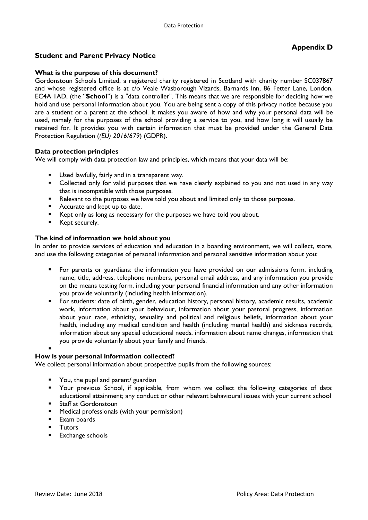# **Student and Parent Privacy Notice**

# **What is the purpose of this document?**

Gordonstoun Schools Limited, a registered charity registered in Scotland with charity number SC037867 and whose registered office is at c/o Veale Wasborough Vizards, Barnards Inn, 86 Fetter Lane, London, EC4A 1AD, (the "**School**") is a "data controller". This means that we are responsible for deciding how we hold and use personal information about you. You are being sent a copy of this privacy notice because you are a student or a parent at the school. It makes you aware of how and why your personal data will be used, namely for the purposes of the school providing a service to you, and how long it will usually be retained for. It provides you with certain information that must be provided under the General Data Protection Regulation (*(EU) 2016/679*) (GDPR).

# **Data protection principles**

We will comply with data protection law and principles, which means that your data will be:

- Used lawfully, fairly and in a transparent way.
- Collected only for valid purposes that we have clearly explained to you and not used in any way that is incompatible with those purposes.
- Relevant to the purposes we have told you about and limited only to those purposes.
- **Accurate and kept up to date.**
- Kept only as long as necessary for the purposes we have told you about.
- **Kept securely.**

# **The kind of information we hold about you**

In order to provide services of education and education in a boarding environment, we will collect, store, and use the following categories of personal information and personal sensitive information about you:

- For parents or guardians: the information you have provided on our admissions form, including name, title, address, telephone numbers, personal email address, and any information you provide on the means testing form, including your personal financial information and any other information you provide voluntarily (including health information).
- For students: date of birth, gender, education history, personal history, academic results, academic work, information about your behaviour, information about your pastoral progress, information about your race, ethnicity, sexuality and political and religious beliefs, information about your health, including any medical condition and health (including mental health) and sickness records, information about any special educational needs, information about name changes, information that you provide voluntarily about your family and friends.
- $\blacksquare$

#### **How is your personal information collected?**

We collect personal information about prospective pupils from the following sources:

- You, the pupil and parent/ guardian
- Your previous School, if applicable, from whom we collect the following categories of data: educational attainment; any conduct or other relevant behavioural issues with your current school
- **Staff at Gordonstoun**
- Medical professionals (with your permission)
- Exam boards
- **Tutors**
- **Exchange schools**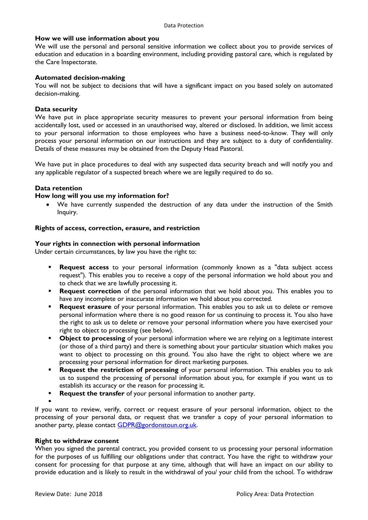### **How we will use information about you**

We will use the personal and personal sensitive information we collect about you to provide services of education and education in a boarding environment, including providing pastoral care, which is regulated by the Care Inspectorate.

### **Automated decision-making**

You will not be subject to decisions that will have a significant impact on you based solely on automated decision-making.

# **Data security**

We have put in place appropriate security measures to prevent your personal information from being accidentally lost, used or accessed in an unauthorised way, altered or disclosed. In addition, we limit access to your personal information to those employees who have a business need-to-know. They will only process your personal information on our instructions and they are subject to a duty of confidentiality. Details of these measures may be obtained from the Deputy Head Pastoral.

We have put in place procedures to deal with any suspected data security breach and will notify you and any applicable regulator of a suspected breach where we are legally required to do so.

# **Data retention**

# **How long will you use my information for?**

 We have currently suspended the destruction of any data under the instruction of the Smith Inquiry.

# **Rights of access, correction, erasure, and restriction**

# **Your rights in connection with personal information**

Under certain circumstances, by law you have the right to:

- **Request access** to your personal information (commonly known as a "data subject access request"). This enables you to receive a copy of the personal information we hold about you and to check that we are lawfully processing it.
- **Request correction** of the personal information that we hold about you. This enables you to have any incomplete or inaccurate information we hold about you corrected.
- **Request erasure** of your personal information. This enables you to ask us to delete or remove personal information where there is no good reason for us continuing to process it. You also have the right to ask us to delete or remove your personal information where you have exercised your right to object to processing (see below).
- **Object to processing** of your personal information where we are relying on a legitimate interest (or those of a third party) and there is something about your particular situation which makes you want to object to processing on this ground. You also have the right to object where we are processing your personal information for direct marketing purposes.
- **Request the restriction of processing** of your personal information. This enables you to ask us to suspend the processing of personal information about you, for example if you want us to establish its accuracy or the reason for processing it.
- **Request the transfer** of your personal information to another party.
- $\blacksquare$

If you want to review, verify, correct or request erasure of your personal information, object to the processing of your personal data, or request that we transfer a copy of your personal information to another party, please contact **[GDPR@gordonstoun.org.uk.](mailto:GDPR@gordonstoun.org.uk)** 

#### **Right to withdraw consent**

When you signed the parental contract, you provided consent to us processing your personal information for the purposes of us fulfilling our obligations under that contract. You have the right to withdraw your consent for processing for that purpose at any time, although that will have an impact on our ability to provide education and is likely to result in the withdrawal of you/ your child from the school. To withdraw